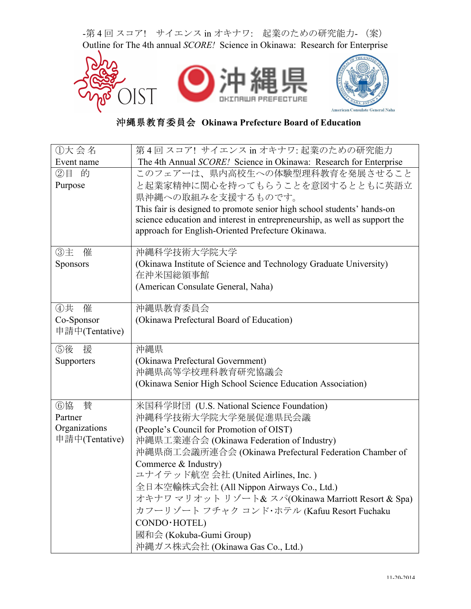-第4回スコア! サイエンス in オキナワ: 起業のための研究能力- (案) Outline for The 4th annual *SCORE!* Science in Okinawa: Research for Enterprise



沖縄県教育委員会 **Okinawa Prefecture Board of Education**

| ①大会名           | 第4回スコア! サイエンス in オキナワ: 起業のための研究能力                                          |  |  |  |
|----------------|----------------------------------------------------------------------------|--|--|--|
| Event name     | The 4th Annual SCORE! Science in Okinawa: Research for Enterprise          |  |  |  |
| ②目 的           | このフェアーは、県内高校生への体験型理科教育を発展させること                                             |  |  |  |
| Purpose        | と起業家精神に関心を持ってもらうことを意図するとともに英語立                                             |  |  |  |
|                | 県沖縄への取組みを支援するものです。                                                         |  |  |  |
|                | This fair is designed to promote senior high school students' hands-on     |  |  |  |
|                | science education and interest in entrepreneurship, as well as support the |  |  |  |
|                | approach for English-Oriented Prefecture Okinawa.                          |  |  |  |
| ③主<br>催        | 沖縄科学技術大学院大学                                                                |  |  |  |
| Sponsors       | (Okinawa Institute of Science and Technology Graduate University)          |  |  |  |
|                | 在沖米国総領事館                                                                   |  |  |  |
|                | (American Consulate General, Naha)                                         |  |  |  |
|                |                                                                            |  |  |  |
| ④共<br>催        | 沖縄県教育委員会                                                                   |  |  |  |
| Co-Sponsor     | (Okinawa Prefectural Board of Education)                                   |  |  |  |
| 申請中(Tentative) |                                                                            |  |  |  |
| ⑤後<br>援        | 沖縄県                                                                        |  |  |  |
| Supporters     | (Okinawa Prefectural Government)                                           |  |  |  |
|                | 沖縄県高等学校理科教育研究協議会                                                           |  |  |  |
|                | (Okinawa Senior High School Science Education Association)                 |  |  |  |
|                |                                                                            |  |  |  |
| ⑥協<br>賛        | 米国科学財団 (U.S. National Science Foundation)                                  |  |  |  |
| Partner        | 沖縄科学技術大学院大学発展促進県民会議                                                        |  |  |  |
| Organizations  | (People's Council for Promotion of OIST)                                   |  |  |  |
| 申請中(Tentative) | 沖縄県工業連合会 (Okinawa Federation of Industry)                                  |  |  |  |
|                | 沖縄県商工会議所連合会 (Okinawa Prefectural Federation Chamber of                     |  |  |  |
|                | Commerce & Industry)                                                       |  |  |  |
|                | ユナイテッド航空 会社 (United Airlines, Inc.)                                        |  |  |  |
|                | 全日本空輸株式会社 (All Nippon Airways Co., Ltd.)                                   |  |  |  |
|                | オキナワ マリオット リゾート& スパ(Okinawa Marriott Resort & Spa)                         |  |  |  |
|                | カフーリゾート フチャク コンド・ホテル (Kafuu Resort Fuchaku                                 |  |  |  |
|                | CONDO · HOTEL)                                                             |  |  |  |
|                | 國和会 (Kokuba-Gumi Group)                                                    |  |  |  |
|                | 沖縄ガス株式会社 (Okinawa Gas Co., Ltd.)                                           |  |  |  |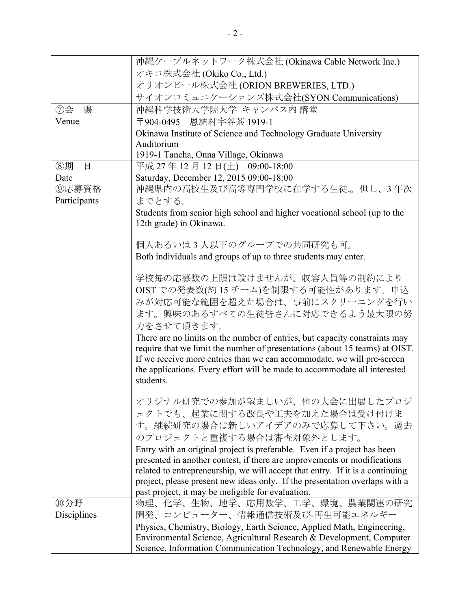|              | 沖縄ケーブルネットワーク株式会社 (Okinawa Cable Network Inc.)                                 |  |  |  |  |  |
|--------------|-------------------------------------------------------------------------------|--|--|--|--|--|
|              | オキコ株式会社 (Okiko Co., Ltd.)                                                     |  |  |  |  |  |
|              | オリオンビール株式会社 (ORION BREWERIES, LTD.)                                           |  |  |  |  |  |
|              | サイオンコミュニケーションズ株式会社(SYON Communications)                                       |  |  |  |  |  |
| ⑦会<br>場      | 沖縄科学技術大学院大学 キャンパス内 講堂                                                         |  |  |  |  |  |
| Venue        |                                                                               |  |  |  |  |  |
|              | 〒904-0495 恩納村字谷茶 1919-1                                                       |  |  |  |  |  |
|              | Okinawa Institute of Science and Technology Graduate University<br>Auditorium |  |  |  |  |  |
|              | 1919-1 Tancha, Onna Village, Okinawa                                          |  |  |  |  |  |
| ⑧期<br>日      | 平成 27年12月12日(土) 09:00-18:00                                                   |  |  |  |  |  |
| Date         |                                                                               |  |  |  |  |  |
|              | Saturday, December 12, 2015 09:00-18:00                                       |  |  |  |  |  |
| ⑨応募資格        | 沖縄県内の高校生及び高等専門学校に在学する生徒。但し、3年次                                                |  |  |  |  |  |
| Participants | までとする。                                                                        |  |  |  |  |  |
|              | Students from senior high school and higher vocational school (up to the      |  |  |  |  |  |
|              | 12th grade) in Okinawa.                                                       |  |  |  |  |  |
|              |                                                                               |  |  |  |  |  |
|              | 個人あるいは3人以下のグループでの共同研究も可。                                                      |  |  |  |  |  |
|              | Both individuals and groups of up to three students may enter.                |  |  |  |  |  |
|              | 学校毎の応募数の上限は設けませんが、収容人員等の制約により                                                 |  |  |  |  |  |
|              |                                                                               |  |  |  |  |  |
|              | OIST での発表数(約15チーム)を制限する可能性があります。申込                                            |  |  |  |  |  |
|              | みが対応可能な範囲を超えた場合は、事前にスクリーニングを行い                                                |  |  |  |  |  |
|              | ます。興味のあるすべての生徒皆さんに対応できるよう最大限の努                                                |  |  |  |  |  |
|              | 力をさせて頂きます。                                                                    |  |  |  |  |  |
|              | There are no limits on the number of entries, but capacity constraints may    |  |  |  |  |  |
|              | require that we limit the number of presentations (about 15 teams) at OIST.   |  |  |  |  |  |
|              | If we receive more entries than we can accommodate, we will pre-screen        |  |  |  |  |  |
|              | the applications. Every effort will be made to accommodate all interested     |  |  |  |  |  |
|              | students.                                                                     |  |  |  |  |  |
|              |                                                                               |  |  |  |  |  |
|              | オリジナル研究での参加が望ましいが、他の大会に出展したプロジ                                                |  |  |  |  |  |
|              | ェクトでも、起業に関する改良や工夫を加えた場合は受け付けま                                                 |  |  |  |  |  |
|              | す。継続研究の場合は新しいアイデアのみで応募して下さい。過去                                                |  |  |  |  |  |
|              | のプロジェクトと重複する場合は審査対象外とします。                                                     |  |  |  |  |  |
|              | Entry with an original project is preferable. Even if a project has been      |  |  |  |  |  |
|              | presented in another contest, if there are improvements or modifications      |  |  |  |  |  |
|              | related to entrepreneurship, we will accept that entry. If it is a continuing |  |  |  |  |  |
|              | project, please present new ideas only. If the presentation overlaps with a   |  |  |  |  |  |
|              | past project, it may be ineligible for evaluation.                            |  |  |  |  |  |
| ⑩分野          | 物理、化学、生物、地学、応用数学、工学、環境、農業関連の研究                                                |  |  |  |  |  |
| Disciplines  | 開発、コンピューター、情報通信技術及び-再生可能エネルギー                                                 |  |  |  |  |  |
|              | Physics, Chemistry, Biology, Earth Science, Applied Math, Engineering,        |  |  |  |  |  |
|              | Environmental Science, Agricultural Research & Development, Computer          |  |  |  |  |  |
|              | Science, Information Communication Technology, and Renewable Energy           |  |  |  |  |  |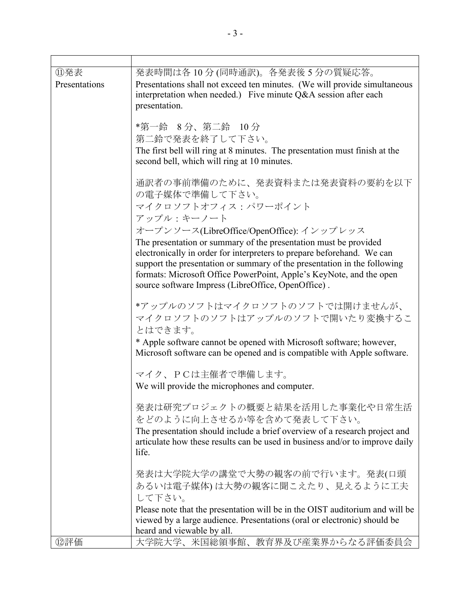| ⑪発表<br>Presentations | 発表時間は各10分(同時通訳)。各発表後5分の質疑応答。<br>Presentations shall not exceed ten minutes. (We will provide simultaneous<br>interpretation when needed.) Five minute Q&A session after each<br>presentation.                                                                                                                                                       |
|----------------------|-----------------------------------------------------------------------------------------------------------------------------------------------------------------------------------------------------------------------------------------------------------------------------------------------------------------------------------------------------|
|                      | *第一鈴 8分、第二鈴 10分                                                                                                                                                                                                                                                                                                                                     |
|                      | 第二鈴で発表を終了して下さい。                                                                                                                                                                                                                                                                                                                                     |
|                      | The first bell will ring at 8 minutes. The presentation must finish at the<br>second bell, which will ring at 10 minutes.                                                                                                                                                                                                                           |
|                      | 通訳者の事前準備のために、発表資料または発表資料の要約を以下<br>の電子媒体で準備して下さい。<br>マイクロソフトオフィス:パワーポイント                                                                                                                                                                                                                                                                             |
|                      | アップル:キーノート                                                                                                                                                                                                                                                                                                                                          |
|                      | オープンソース(LibreOffice/OpenOffice): インップレッス                                                                                                                                                                                                                                                                                                            |
|                      | The presentation or summary of the presentation must be provided<br>electronically in order for interpreters to prepare beforehand. We can<br>support the presentation or summary of the presentation in the following<br>formats: Microsoft Office PowerPoint, Apple's KeyNote, and the open<br>source software Impress (LibreOffice, OpenOffice). |
|                      | *アップルのソフトはマイクロソフトのソフトでは開けませんが、<br>マイクロソフトのソフトはアップルのソフトで開いたり変換するこ<br>とはできます。                                                                                                                                                                                                                                                                         |
|                      | * Apple software cannot be opened with Microsoft software; however,<br>Microsoft software can be opened and is compatible with Apple software.                                                                                                                                                                                                      |
|                      | マイク、PCは主催者で準備します。                                                                                                                                                                                                                                                                                                                                   |
|                      | We will provide the microphones and computer.                                                                                                                                                                                                                                                                                                       |
|                      | 発表は研究プロジェクトの概要と結果を活用した事業化や日常生活<br>をどのように向上させるか等を含めて発表して下さい。<br>The presentation should include a brief overview of a research project and                                                                                                                                                                                                           |
|                      | articulate how these results can be used in business and/or to improve daily<br>life.                                                                                                                                                                                                                                                               |
|                      | 発表は大学院大学の講堂で大勢の観客の前で行います。発表(口頭                                                                                                                                                                                                                                                                                                                      |
|                      | あるいは電子媒体)は大勢の観客に聞こえたり、見えるように工夫<br>して下さい。                                                                                                                                                                                                                                                                                                            |
|                      | Please note that the presentation will be in the OIST auditorium and will be                                                                                                                                                                                                                                                                        |
|                      | viewed by a large audience. Presentations (oral or electronic) should be                                                                                                                                                                                                                                                                            |
| 12評価                 | heard and viewable by all.<br>大学院大学、米国総領事館、教育界及び産業界からなる評価委員会                                                                                                                                                                                                                                                                                        |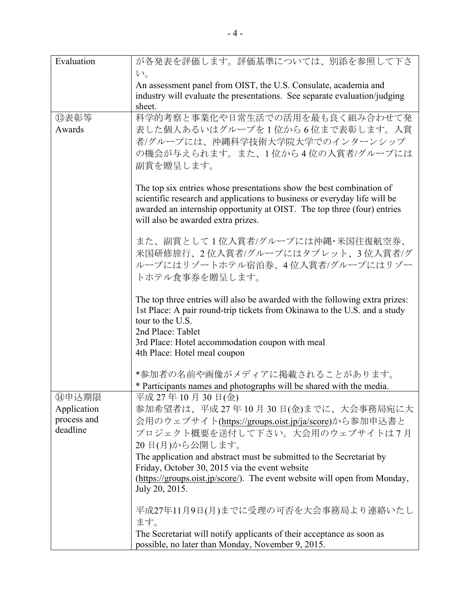| Evaluation                 | が各発表を評価します。評価基準については、別添を参照して下さ                                                                                                                           |  |  |  |
|----------------------------|----------------------------------------------------------------------------------------------------------------------------------------------------------|--|--|--|
|                            | $V_{0}$                                                                                                                                                  |  |  |  |
|                            | An assessment panel from OIST, the U.S. Consulate, academia and                                                                                          |  |  |  |
|                            | industry will evaluate the presentations. See separate evaluation/judging<br>sheet.                                                                      |  |  |  |
| <b>13表彰等</b>               | 科学的考察と事業化や日常生活での活用を最も良く組み合わせて発                                                                                                                           |  |  |  |
| Awards                     | 表した個人あるいはグループを1位から6位まで表彰します。入賞                                                                                                                           |  |  |  |
|                            | 者/グループには、沖縄科学技術大学院大学でのインターンシップ                                                                                                                           |  |  |  |
|                            | の機会が与えられます。また、1位から4位の入賞者/グループには                                                                                                                          |  |  |  |
|                            | 副賞を贈呈します。                                                                                                                                                |  |  |  |
|                            |                                                                                                                                                          |  |  |  |
|                            | The top six entries whose presentations show the best combination of<br>scientific research and applications to business or everyday life will be        |  |  |  |
|                            | awarded an internship opportunity at OIST. The top three (four) entries                                                                                  |  |  |  |
|                            | will also be awarded extra prizes.                                                                                                                       |  |  |  |
|                            | また、副賞として1位入賞者/グループには沖縄・米国往復航空券、                                                                                                                          |  |  |  |
|                            | 米国研修旅行、2位入賞者/グループにはタブレット、3位入賞者/グ                                                                                                                         |  |  |  |
|                            | ループにはリゾートホテル宿泊券、4位入賞者/グループにはリゾー                                                                                                                          |  |  |  |
|                            | トホテル食事券を贈呈します。                                                                                                                                           |  |  |  |
|                            |                                                                                                                                                          |  |  |  |
|                            | The top three entries will also be awarded with the following extra prizes:<br>1st Place: A pair round-trip tickets from Okinawa to the U.S. and a study |  |  |  |
|                            | tour to the U.S.                                                                                                                                         |  |  |  |
|                            | 2nd Place: Tablet                                                                                                                                        |  |  |  |
|                            | 3rd Place: Hotel accommodation coupon with meal                                                                                                          |  |  |  |
|                            | 4th Place: Hotel meal coupon                                                                                                                             |  |  |  |
|                            | *参加者の名前や画像がメディアに掲載されることがあります。                                                                                                                            |  |  |  |
|                            | * Participants names and photographs will be shared with the media.                                                                                      |  |  |  |
| ⑭申込期限                      | 平成 27年10月30日(金)                                                                                                                                          |  |  |  |
| Application<br>process and | 参加希望者は、平成27年10月30日(金)までに、大会事務局宛に大                                                                                                                        |  |  |  |
| deadline                   | 会用のウェブサイト(https://groups.oist.jp/ja/score)から参加申込書と<br>プロジェクト概要を送付して下さい。大会用のウェブサイトは7月                                                                     |  |  |  |
|                            | 20日(月)から公開します。                                                                                                                                           |  |  |  |
|                            | The application and abstract must be submitted to the Secretariat by                                                                                     |  |  |  |
|                            | Friday, October 30, 2015 via the event website                                                                                                           |  |  |  |
|                            | (https://groups.oist.jp/score/). The event website will open from Monday,                                                                                |  |  |  |
|                            | July 20, 2015.                                                                                                                                           |  |  |  |
|                            | 平成27年11月9日(月)までに受理の可否を大会事務局より連絡いたし                                                                                                                       |  |  |  |
|                            | ます。                                                                                                                                                      |  |  |  |
|                            | The Secretariat will notify applicants of their acceptance as soon as                                                                                    |  |  |  |
|                            | possible, no later than Monday, November 9, 2015.                                                                                                        |  |  |  |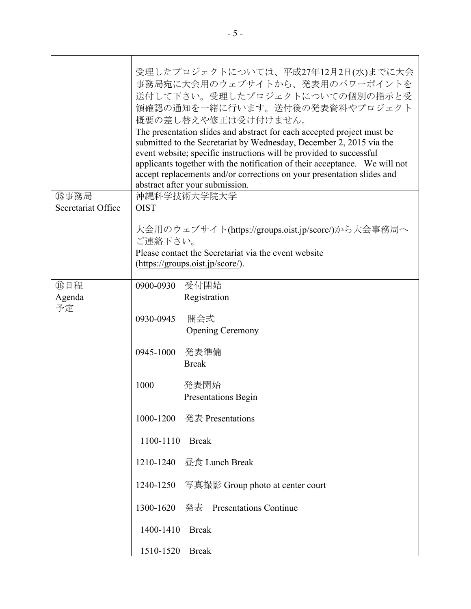|                    | 受理したプロジェクトについては、平成27年12月2日(水)までに大会<br>事務局宛に大会用のウェブサイトから、発表用のパワーポイントを<br>送付して下さい。受理したプロジェクトについての個別の指示と受<br>領確認の通知を一緒に行います。送付後の発表資料やプロジェクト<br>概要の差し替えや修正は受け付けません。<br>The presentation slides and abstract for each accepted project must be<br>submitted to the Secretariat by Wednesday, December 2, 2015 via the<br>event website; specific instructions will be provided to successful<br>applicants together with the notification of their acceptance. We will not<br>accept replacements and/or corrections on your presentation slides and<br>abstract after your submission. |                                            |  |  |
|--------------------|------------------------------------------------------------------------------------------------------------------------------------------------------------------------------------------------------------------------------------------------------------------------------------------------------------------------------------------------------------------------------------------------------------------------------------------------------------------------------------------------------------------------------------------------------------------------------------|--------------------------------------------|--|--|
| ⑮事務局               | 沖縄科学技術大学院大学                                                                                                                                                                                                                                                                                                                                                                                                                                                                                                                                                                        |                                            |  |  |
| Secretariat Office | <b>OIST</b>                                                                                                                                                                                                                                                                                                                                                                                                                                                                                                                                                                        |                                            |  |  |
|                    | 大会用のウェブサイト(https://groups.oist.jp/score/)から大会事務局へ<br>ご連絡下さい。<br>Please contact the Secretariat via the event website                                                                                                                                                                                                                                                                                                                                                                                                                                                               |                                            |  |  |
|                    | $(\frac{https://groups.oist.jp/score/}{https://groups.oist.jp/score/}).$                                                                                                                                                                                                                                                                                                                                                                                                                                                                                                           |                                            |  |  |
| 16日程<br>Agenda     | 0900-0930 受付開始                                                                                                                                                                                                                                                                                                                                                                                                                                                                                                                                                                     | Registration                               |  |  |
| 予定                 | 0930-0945                                                                                                                                                                                                                                                                                                                                                                                                                                                                                                                                                                          | 開会式<br><b>Opening Ceremony</b>             |  |  |
|                    | 0945-1000                                                                                                                                                                                                                                                                                                                                                                                                                                                                                                                                                                          | 発表準備<br><b>Break</b>                       |  |  |
|                    | 1000                                                                                                                                                                                                                                                                                                                                                                                                                                                                                                                                                                               | 発表開始<br>Presentations Begin                |  |  |
|                    |                                                                                                                                                                                                                                                                                                                                                                                                                                                                                                                                                                                    | 1000-1200 発表 Presentations                 |  |  |
|                    | 1100-1110                                                                                                                                                                                                                                                                                                                                                                                                                                                                                                                                                                          | <b>Break</b>                               |  |  |
|                    |                                                                                                                                                                                                                                                                                                                                                                                                                                                                                                                                                                                    | 1210-1240 昼食 Lunch Break                   |  |  |
|                    |                                                                                                                                                                                                                                                                                                                                                                                                                                                                                                                                                                                    | 1240-1250 写真撮影 Group photo at center court |  |  |
|                    |                                                                                                                                                                                                                                                                                                                                                                                                                                                                                                                                                                                    | 1300-1620 発表 Presentations Continue        |  |  |
|                    | 1400-1410                                                                                                                                                                                                                                                                                                                                                                                                                                                                                                                                                                          | <b>Break</b>                               |  |  |
|                    | 1510-1520                                                                                                                                                                                                                                                                                                                                                                                                                                                                                                                                                                          | <b>Break</b>                               |  |  |